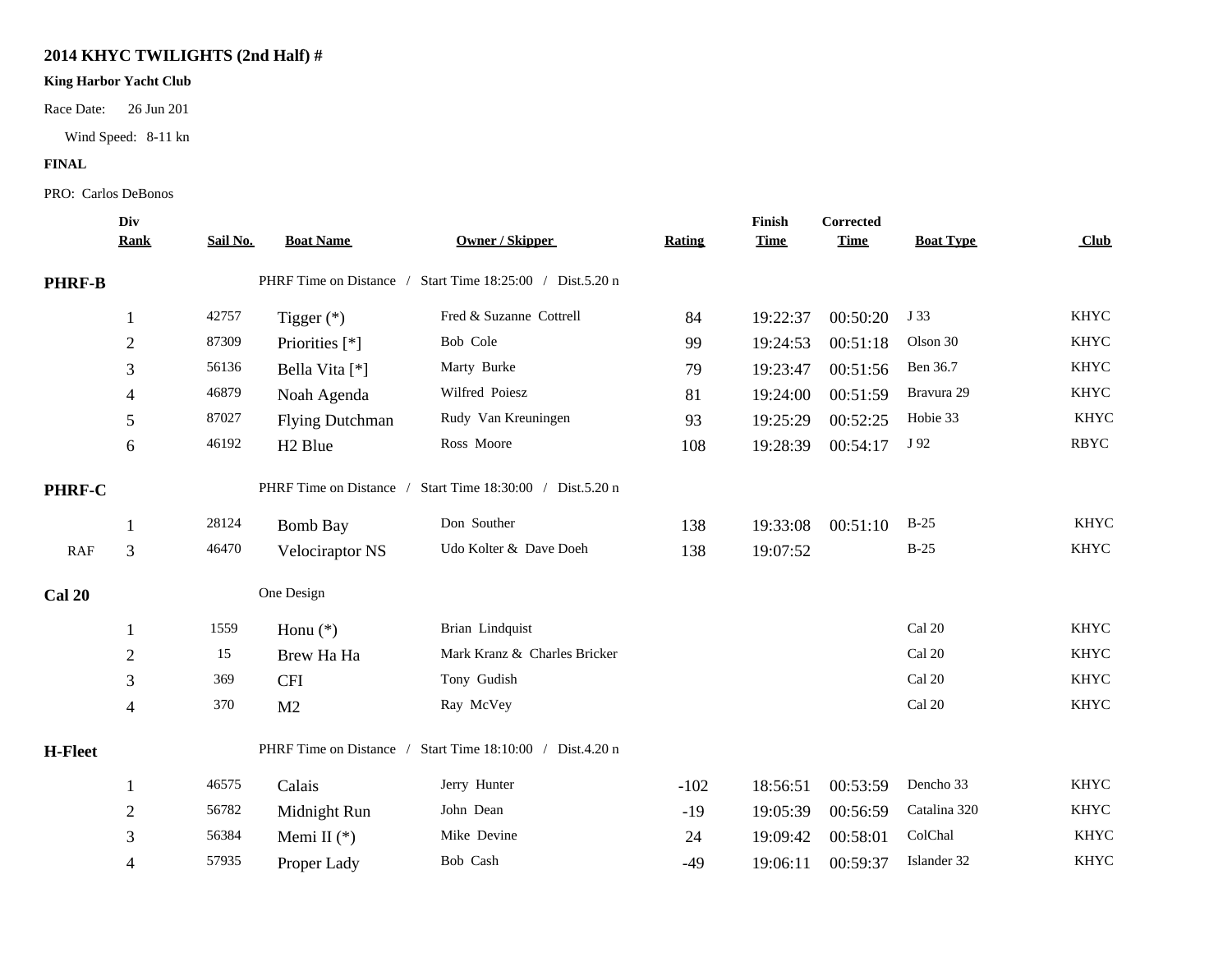## **2014 KHYC TWILIGHTS (2nd Half) #**

## **King Harbor Yacht Club**

Race Date: 26 Jun 201

Wind Speed: 8-11 kn

## **FINAL**

## PRO: Carlos DeBonos

|                | Div            |          |                         |                                                           |        | Finish      | Corrected   |                  |             |  |
|----------------|----------------|----------|-------------------------|-----------------------------------------------------------|--------|-------------|-------------|------------------|-------------|--|
|                | <b>Rank</b>    | Sail No. | <b>Boat Name</b>        | <b>Owner / Skipper</b>                                    | Rating | <b>Time</b> | <b>Time</b> | <b>Boat Type</b> | Club        |  |
| <b>PHRF-B</b>  |                |          | PHRF Time on Distance / | Start Time 18:25:00 / Dist.5.20 n                         |        |             |             |                  |             |  |
|                | $\mathbf{1}$   | 42757    | Tigger $(*)$            | Fred & Suzanne Cottrell                                   | 84     | 19:22:37    | 00:50:20    | J 33             | <b>KHYC</b> |  |
|                | $\overline{2}$ | 87309    | Priorities [*]          | Bob Cole                                                  | 99     | 19:24:53    | 00:51:18    | Olson 30         | <b>KHYC</b> |  |
|                | 3              | 56136    | Bella Vita [*]          | Marty Burke                                               | 79     | 19:23:47    | 00:51:56    | Ben 36.7         | <b>KHYC</b> |  |
|                | 4              | 46879    | Noah Agenda             | Wilfred Poiesz                                            | 81     | 19:24:00    | 00:51:59    | Bravura 29       | <b>KHYC</b> |  |
|                | 5              | 87027    | <b>Flying Dutchman</b>  | Rudy Van Kreuningen                                       | 93     | 19:25:29    | 00:52:25    | Hobie 33         | <b>KHYC</b> |  |
|                | 6              | 46192    | H <sub>2</sub> Blue     | Ross Moore                                                | 108    | 19:28:39    | 00:54:17    | J 92             | <b>RBYC</b> |  |
| PHRF-C         |                |          |                         | PHRF Time on Distance / Start Time 18:30:00 / Dist.5.20 n |        |             |             |                  |             |  |
|                | 1              | 28124    | <b>Bomb Bay</b>         | Don Souther                                               | 138    | 19:33:08    | 00:51:10    | $B-25$           | <b>KHYC</b> |  |
| RAF            | 3              | 46470    | Velociraptor NS         | Udo Kolter & Dave Doeh                                    | 138    | 19:07:52    |             | $B-25$           | <b>KHYC</b> |  |
| <b>Cal 20</b>  |                |          | One Design              |                                                           |        |             |             |                  |             |  |
|                | 1              | 1559     | Honu $(*)$              | Brian Lindquist                                           |        |             |             | Cal 20           | <b>KHYC</b> |  |
|                | $\mathbf{2}$   | 15       | Brew Ha Ha              | Mark Kranz & Charles Bricker                              |        |             |             | Cal 20           | <b>KHYC</b> |  |
|                | 3              | 369      | <b>CFI</b>              | Tony Gudish                                               |        |             |             | Cal 20           | <b>KHYC</b> |  |
|                | $\overline{4}$ | 370      | M <sub>2</sub>          | Ray McVey                                                 |        |             |             | Cal 20           | <b>KHYC</b> |  |
| <b>H-Fleet</b> |                |          | PHRF Time on Distance / | Start Time 18:10:00 / Dist.4.20 n                         |        |             |             |                  |             |  |
|                | 1              | 46575    | Calais                  | Jerry Hunter                                              | $-102$ | 18:56:51    | 00:53:59    | Dencho 33        | <b>KHYC</b> |  |
|                | $\overline{2}$ | 56782    | Midnight Run            | John Dean                                                 | $-19$  | 19:05:39    | 00:56:59    | Catalina 320     | <b>KHYC</b> |  |
|                | 3              | 56384    | Memi II $(*)$           | Mike Devine                                               | 24     | 19:09:42    | 00:58:01    | ColChal          | <b>KHYC</b> |  |
|                | $\overline{4}$ | 57935    | Proper Lady             | Bob Cash                                                  | $-49$  | 19:06:11    | 00:59:37    | Islander 32      | <b>KHYC</b> |  |